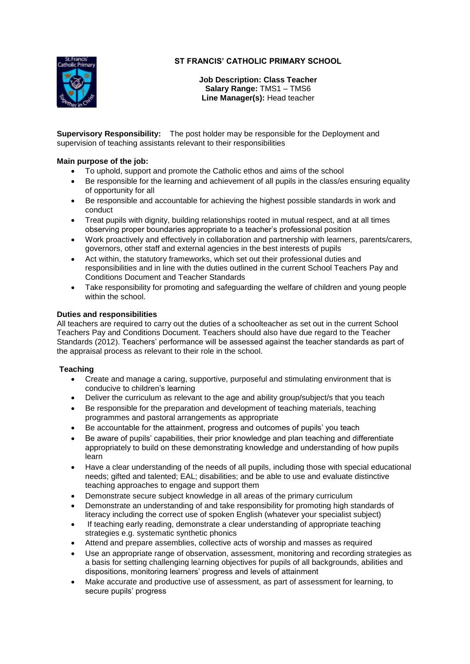

# **ST FRANCIS' CATHOLIC PRIMARY SCHOOL**

**Job Description: Class Teacher Salary Range:** TMS1 – TMS6 **Line Manager(s):** Head teacher

**Supervisory Responsibility:** The post holder may be responsible for the Deployment and supervision of teaching assistants relevant to their responsibilities

# **Main purpose of the job:**

- To uphold, support and promote the Catholic ethos and aims of the school
- Be responsible for the learning and achievement of all pupils in the class/es ensuring equality of opportunity for all
- Be responsible and accountable for achieving the highest possible standards in work and conduct
- Treat pupils with dignity, building relationships rooted in mutual respect, and at all times observing proper boundaries appropriate to a teacher's professional position
- Work proactively and effectively in collaboration and partnership with learners, parents/carers, governors, other staff and external agencies in the best interests of pupils
- Act within, the statutory frameworks, which set out their professional duties and responsibilities and in line with the duties outlined in the current School Teachers Pay and Conditions Document and Teacher Standards
- Take responsibility for promoting and safeguarding the welfare of children and young people within the school.

#### **Duties and responsibilities**

All teachers are required to carry out the duties of a schoolteacher as set out in the current School Teachers Pay and Conditions Document. Teachers should also have due regard to the Teacher Standards (2012). Teachers' performance will be assessed against the teacher standards as part of the appraisal process as relevant to their role in the school.

# **Teaching**

- Create and manage a caring, supportive, purposeful and stimulating environment that is conducive to children's learning
- Deliver the curriculum as relevant to the age and ability group/subject/s that you teach
- Be responsible for the preparation and development of teaching materials, teaching programmes and pastoral arrangements as appropriate
- Be accountable for the attainment, progress and outcomes of pupils' you teach
- Be aware of pupils' capabilities, their prior knowledge and plan teaching and differentiate appropriately to build on these demonstrating knowledge and understanding of how pupils learn
- Have a clear understanding of the needs of all pupils, including those with special educational needs; gifted and talented; EAL; disabilities; and be able to use and evaluate distinctive teaching approaches to engage and support them
- Demonstrate secure subject knowledge in all areas of the primary curriculum
- Demonstrate an understanding of and take responsibility for promoting high standards of literacy including the correct use of spoken English (whatever your specialist subject)
- If teaching early reading, demonstrate a clear understanding of appropriate teaching strategies e.g. systematic synthetic phonics
- Attend and prepare assemblies, collective acts of worship and masses as required
- Use an appropriate range of observation, assessment, monitoring and recording strategies as a basis for setting challenging learning objectives for pupils of all backgrounds, abilities and dispositions, monitoring learners' progress and levels of attainment
- Make accurate and productive use of assessment, as part of assessment for learning, to secure pupils' progress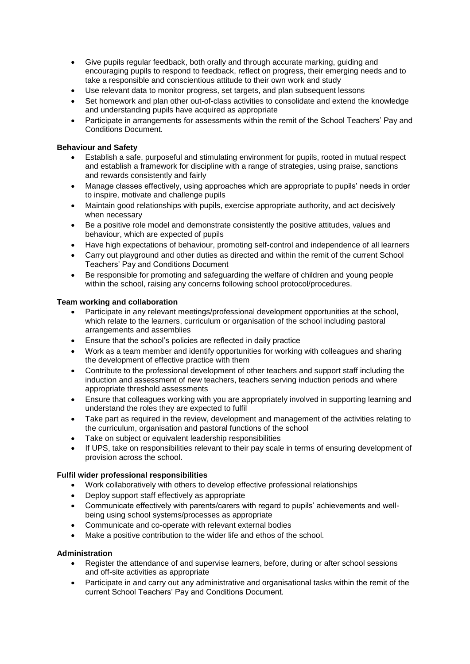- Give pupils regular feedback, both orally and through accurate marking, guiding and encouraging pupils to respond to feedback, reflect on progress, their emerging needs and to take a responsible and conscientious attitude to their own work and study
- Use relevant data to monitor progress, set targets, and plan subsequent lessons
- Set homework and plan other out-of-class activities to consolidate and extend the knowledge and understanding pupils have acquired as appropriate
- Participate in arrangements for assessments within the remit of the School Teachers' Pay and Conditions Document.

# **Behaviour and Safety**

- Establish a safe, purposeful and stimulating environment for pupils, rooted in mutual respect and establish a framework for discipline with a range of strategies, using praise, sanctions and rewards consistently and fairly
- Manage classes effectively, using approaches which are appropriate to pupils' needs in order to inspire, motivate and challenge pupils
- Maintain good relationships with pupils, exercise appropriate authority, and act decisively when necessary
- Be a positive role model and demonstrate consistently the positive attitudes, values and behaviour, which are expected of pupils
- Have high expectations of behaviour, promoting self-control and independence of all learners
- Carry out playground and other duties as directed and within the remit of the current School Teachers' Pay and Conditions Document
- Be responsible for promoting and safeguarding the welfare of children and young people within the school, raising any concerns following school protocol/procedures.

#### **Team working and collaboration**

- Participate in any relevant meetings/professional development opportunities at the school, which relate to the learners, curriculum or organisation of the school including pastoral arrangements and assemblies
- Ensure that the school's policies are reflected in daily practice
- Work as a team member and identify opportunities for working with colleagues and sharing the development of effective practice with them
- Contribute to the professional development of other teachers and support staff including the induction and assessment of new teachers, teachers serving induction periods and where appropriate threshold assessments
- Ensure that colleagues working with you are appropriately involved in supporting learning and understand the roles they are expected to fulfil
- Take part as required in the review, development and management of the activities relating to the curriculum, organisation and pastoral functions of the school
- Take on subject or equivalent leadership responsibilities
- If UPS, take on responsibilities relevant to their pay scale in terms of ensuring development of provision across the school.

# **Fulfil wider professional responsibilities**

- Work collaboratively with others to develop effective professional relationships
- Deploy support staff effectively as appropriate
- Communicate effectively with parents/carers with regard to pupils' achievements and wellbeing using school systems/processes as appropriate
- Communicate and co-operate with relevant external bodies
- Make a positive contribution to the wider life and ethos of the school.

#### **Administration**

- Register the attendance of and supervise learners, before, during or after school sessions and off-site activities as appropriate
- Participate in and carry out any administrative and organisational tasks within the remit of the current School Teachers' Pay and Conditions Document.